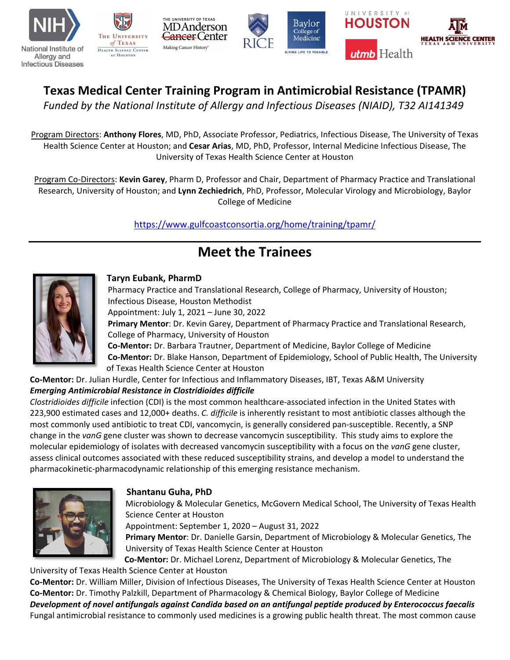







# **Texas Medical Center Training Program in Antimicrobial Resistance (TPAMR)**

*Funded by the National Institute of Allergy and Infectious Diseases (NIAID), T32 AI141349*

Program Directors: **Anthony Flores**, MD, PhD, Associate Professor, Pediatrics, Infectious Disease, The University of Texas Health Science Center at Houston; and **Cesar Arias**, MD, PhD, Professor, Internal Medicine Infectious Disease, The University of Texas Health Science Center at Houston

Program Co-Directors: **Kevin Garey**, Pharm D, Professor and Chair, Department of Pharmacy Practice and Translational Research, University of Houston; and **Lynn Zechiedrich**, PhD, Professor, Molecular Virology and Microbiology, Baylor College of Medicine

<https://www.gulfcoastconsortia.org/home/training/tpamr/>

# **Meet the Trainees**



### **Taryn Eubank, PharmD**

Pharmacy Practice and Translational Research, College of Pharmacy, University of Houston; Infectious Disease, Houston Methodist Appointment: July 1, 2021 – June 30, 2022 **Primary Mentor**: Dr. Kevin Garey, Department of Pharmacy Practice and Translational Research, College of Pharmacy, University of Houston **Co-Mentor:** Dr. Barbara Trautner, Department of Medicine, Baylor College of Medicine **Co-Mentor:** Dr. Blake Hanson, Department of Epidemiology, School of Public Health, The University

of Texas Health Science Center at Houston

**Co-Mentor:** Dr. Julian Hurdle, Center for Infectious and Inflammatory Diseases, IBT, Texas A&M University *Emerging Antimicrobial Resistance in Clostridioides difficile*

*Clostridioides difficile* infection (CDI) is the most common healthcare-associated infection in the United States with 223,900 estimated cases and 12,000+ deaths. *C. difficile* is inherently resistant to most antibiotic classes although the most commonly used antibiotic to treat CDI, vancomycin, is generally considered pan-susceptible. Recently, a SNP change in the *vanG* gene cluster was shown to decrease vancomycin susceptibility. This study aims to explore the molecular epidemiology of isolates with decreased vancomycin susceptibility with a focus on the *vanG* gene cluster, assess clinical outcomes associated with these reduced susceptibility strains, and develop a model to understand the pharmacokinetic-pharmacodynamic relationship of this emerging resistance mechanism.



## **Shantanu Guha, PhD**

Microbiology & Molecular Genetics, McGovern Medical School, The University of Texas Health Science Center at Houston

Appointment: September 1, 2020 – August 31, 2022

**Primary Mentor**: Dr. Danielle Garsin, Department of Microbiology & Molecular Genetics, The University of Texas Health Science Center at Houston

**Co-Mentor:** Dr. Michael Lorenz, Department of Microbiology & Molecular Genetics, The University of Texas Health Science Center at Houston

**Co-Mentor:** Dr. William Miller, Division of Infectious Diseases, The University of Texas Health Science Center at Houston **Co-Mentor:** Dr. Timothy Palzkill, Department of Pharmacology & Chemical Biology, Baylor College of Medicine *Development of novel antifungals against Candida based on an antifungal peptide produced by Enterococcus faecalis* Fungal antimicrobial resistance to commonly used medicines is a growing public health threat. The most common cause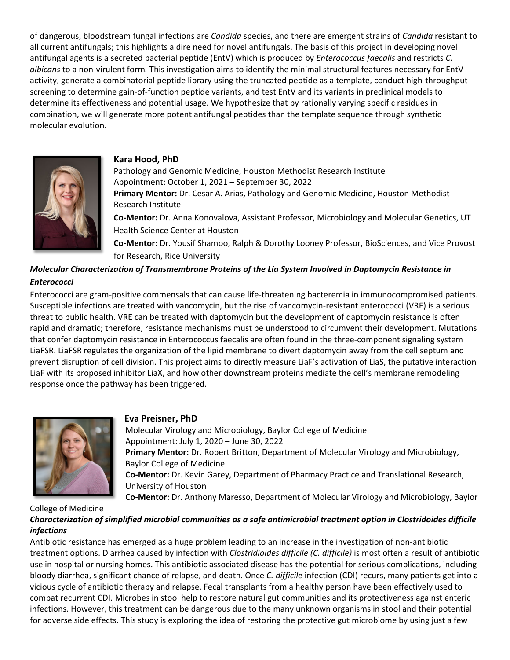of dangerous, bloodstream fungal infections are *Candida* species, and there are emergent strains of *Candida* resistant to all current antifungals; this highlights a dire need for novel antifungals. The basis of this project in developing novel antifungal agents is a secreted bacterial peptide (EntV) which is produced by *Enterococcus faecalis* and restricts *C. albicans* to a non-virulent form*.* This investigation aims to identify the minimal structural features necessary for EntV activity, generate a combinatorial peptide library using the truncated peptide as a template, conduct high-throughput screening to determine gain-of-function peptide variants, and test EntV and its variants in preclinical models to determine its effectiveness and potential usage. We hypothesize that by rationally varying specific residues in combination, we will generate more potent antifungal peptides than the template sequence through synthetic molecular evolution.



#### **Kara Hood, PhD**

Pathology and Genomic Medicine, Houston Methodist Research Institute Appointment: October 1, 2021 – September 30, 2022 **Primary Mentor:** Dr. Cesar A. Arias, Pathology and Genomic Medicine, Houston Methodist Research Institute **Co-Mentor:** Dr. Anna Konovalova, Assistant Professor, Microbiology and Molecular Genetics, UT Health Science Center at Houston **Co-Mentor:** Dr. Yousif Shamoo, Ralph & Dorothy Looney Professor, BioSciences, and Vice Provost

for Research, Rice University

### *Molecular Characterization of Transmembrane Proteins of the Lia System Involved in Daptomycin Resistance in Enterococci*

Enterococci are gram-positive commensals that can cause life-threatening bacteremia in immunocompromised patients. Susceptible infections are treated with vancomycin, but the rise of vancomycin-resistant enterococci (VRE) is a serious threat to public health. VRE can be treated with daptomycin but the development of daptomycin resistance is often rapid and dramatic; therefore, resistance mechanisms must be understood to circumvent their development. Mutations that confer daptomycin resistance in Enterococcus faecalis are often found in the three-component signaling system LiaFSR. LiaFSR regulates the organization of the lipid membrane to divert daptomycin away from the cell septum and prevent disruption of cell division. This project aims to directly measure LiaF's activation of LiaS, the putative interaction LiaF with its proposed inhibitor LiaX, and how other downstream proteins mediate the cell's membrane remodeling response once the pathway has been triggered.



### **Eva Preisner, PhD**

Molecular Virology and Microbiology, Baylor College of Medicine Appointment: July 1, 2020 – June 30, 2022 **Primary Mentor:** Dr. Robert Britton, Department of Molecular Virology and Microbiology, Baylor College of Medicine **Co-Mentor:** Dr. Kevin Garey, Department of Pharmacy Practice and Translational Research, University of Houston **Co-Mentor:** Dr. Anthony Maresso, Department of Molecular Virology and Microbiology, Baylor

College of Medicine *Characterization of simplified microbial communities as a safe antimicrobial treatment option in Clostridoides difficile infections*

Antibiotic resistance has emerged as a huge problem leading to an increase in the investigation of non-antibiotic treatment options. Diarrhea caused by infection with *Clostridioides difficile (C. difficile)* is most often a result of antibiotic use in hospital or nursing homes. This antibiotic associated disease has the potential for serious complications, including bloody diarrhea, significant chance of relapse, and death. Once *C. difficile* infection (CDI) recurs, many patients get into a vicious cycle of antibiotic therapy and relapse. Fecal transplants from a healthy person have been effectively used to combat recurrent CDI. Microbes in stool help to restore natural gut communities and its protectiveness against enteric infections. However, this treatment can be dangerous due to the many unknown organisms in stool and their potential for adverse side effects. This study is exploring the idea of restoring the protective gut microbiome by using just a few